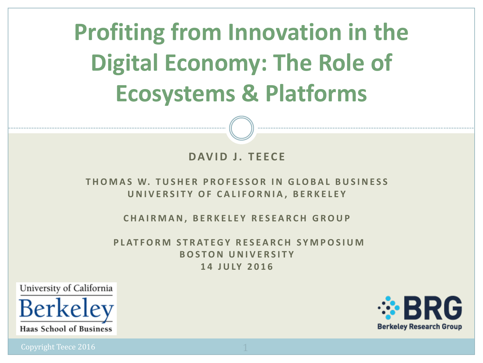**Profiting from Innovation in the Digital Economy: The Role of Ecosystems & Platforms** 

#### **DAVID J. TEECE**

#### **THOMAS W. TUSHER PROFESSOR IN GLOBAL BUSINESS UNIVERSITY OF CALIFORNIA, BERKELEY**

**CHAIRMAN, BERKELEY RESEARCH GROUP**

**PLATFORM STRATEGY RESEARCH SYMPOSIUM BOSTON UNIVERSITY 14 JULY 2016**

University of California



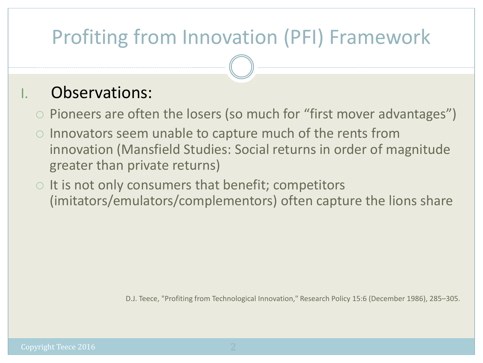# Profiting from Innovation (PFI) Framework

### Observations:

- $\circ$  Pioneers are often the losers (so much for "first mover advantages")
- $\circ$  Innovators seem unable to capture much of the rents from innovation (Mansfield Studies: Social returns in order of magnitude greater than private returns)
- $\circ$  It is not only consumers that benefit; competitors (imitators/emulators/complementors) often capture the lions share

D.J. Teece, "Profiting from Technological Innovation," Research Policy 15:6 (December 1986), 285–305.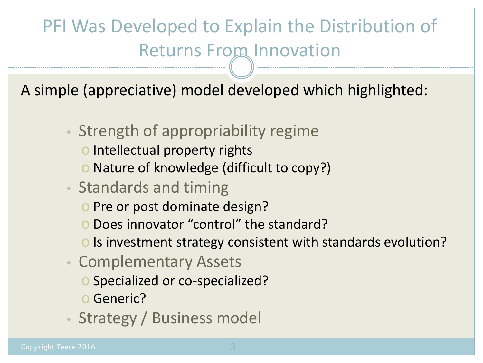# PFI Was Developed to Explain the Distribution of **Returns From Innovation**

A simple (appreciative) model developed which highlighted:

- Strength of appropriability regime
	- o Intellectual property rights
	- o Nature of knowledge (difficult to copy?)
- Standards and timing
	- o Pre or post dominate design?
	- o Does innovator "control" the standard?
	- o Is investment strategy consistent with standards evolution?
- Complementary Assets
	- o Specialized or co-specialized?
	- o Generic?
- Strategy / Business model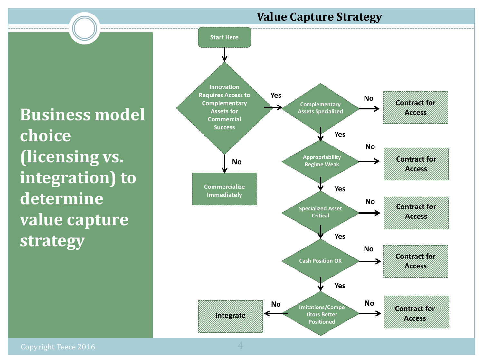#### **Value Capture Strategy**

**Business model choice (licensing vs. integration) to determine value capture strategy**

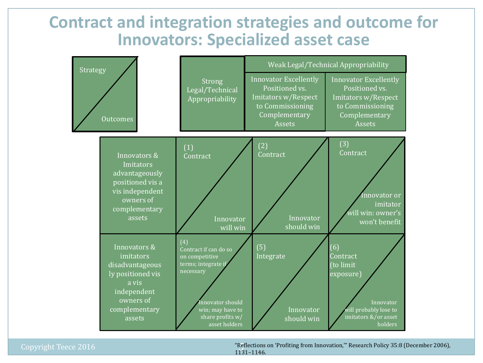### **Contract and integration strategies and outcome for Innovators: Specialized asset case**



Copyright Teece 2016

"Reflections on 'Profiting from Innovation,'" Research Policy 35:8 (December 2006), 1131–1146.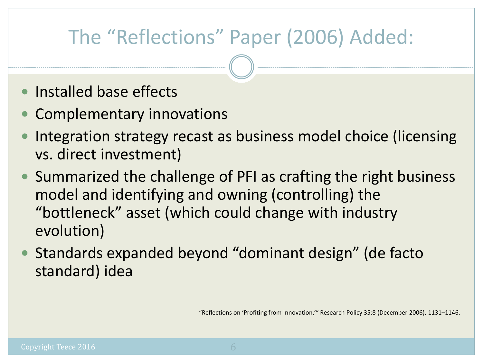# The "Reflections" Paper (2006) Added:

- Installed base effects
- Complementary innovations
- Integration strategy recast as business model choice (licensing vs. direct investment)
- Summarized the challenge of PFI as crafting the right business model and identifying and owning (controlling) the "bottleneck" asset (which could change with industry evolution)
- Standards expanded beyond "dominant design" (de facto standard) idea

"Reflections on 'Profiting from Innovation,'" Research Policy 35:8 (December 2006), 1131–1146.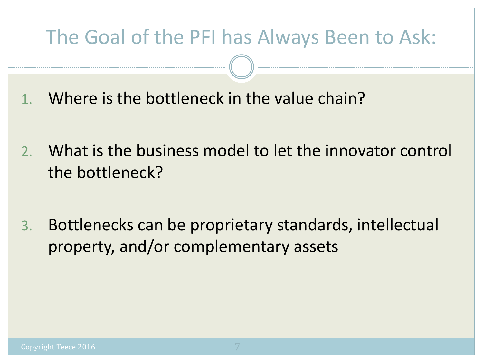### The Goal of the PFI has Always Been to Ask:

- 1. Where is the bottleneck in the value chain?
- 2. What is the business model to let the innovator control the bottleneck?
- 3. Bottlenecks can be proprietary standards, intellectual property, and/or complementary assets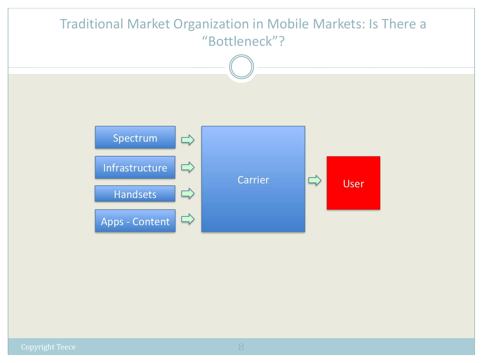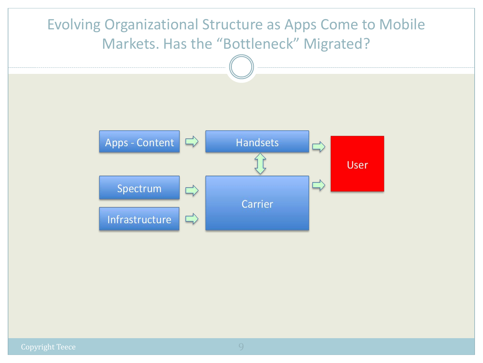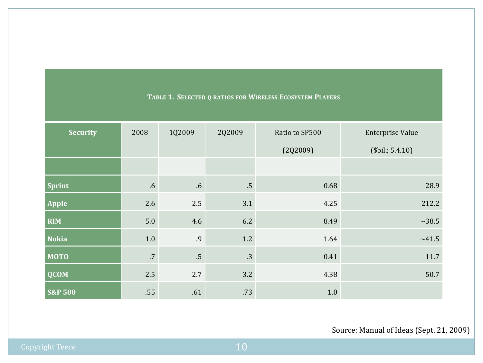| <b>Security</b>    | 2008   | 1Q2009          | 2Q2009          | Ratio to SP500 | <b>Enterprise Value</b> |
|--------------------|--------|-----------------|-----------------|----------------|-------------------------|
|                    |        |                 |                 | (2Q2009)       | \$bil.; 5.4.10]         |
|                    |        |                 |                 |                |                         |
| <b>Sprint</b>      | .6     | $.6\,$          | $.5\phantom{0}$ | 0.68           | 28.9                    |
| <b>Apple</b>       | 2.6    | 2.5             | 3.1             | 4.25           | 212.2                   |
| <b>RIM</b>         | 5.0    | 4.6             | 6.2             | 8.49           | $\sim$ 38.5             |
| <b>Nokia</b>       | $1.0$  | .9              | 1.2             | 1.64           | ~1.5                    |
| <b>MOTO</b>        | $.7\,$ | $.5\phantom{0}$ | .3              | 0.41           | 11.7                    |
| <b>QCOM</b>        | 2.5    | 2.7             | 3.2             | 4.38           | 50.7                    |
| <b>S&amp;P 500</b> | .55    | .61             | .73             | 1.0            |                         |

#### **TABLE 1. SELECTED Q RATIOS FOR WIRELESS ECOSYSTEM PLAYERS**

#### Source: Manual of Ideas (Sept. 21, 2009)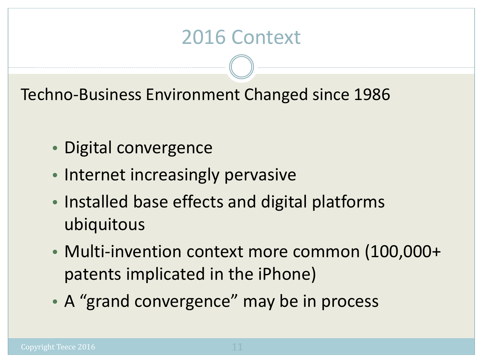### 2016 Context

Techno-Business Environment Changed since 1986

- Digital convergence
- Internet increasingly pervasive
- Installed base effects and digital platforms ubiquitous
- Multi-invention context more common (100,000+ patents implicated in the iPhone)
- A "grand convergence" may be in process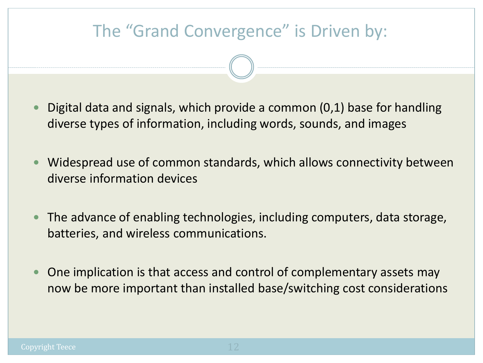# The "Grand Convergence" is Driven by:

- Digital data and signals, which provide a common (0,1) base for handling diverse types of information, including words, sounds, and images
- Widespread use of common standards, which allows connectivity between diverse information devices
- The advance of enabling technologies, including computers, data storage, batteries, and wireless communications.
- One implication is that access and control of complementary assets may now be more important than installed base/switching cost considerations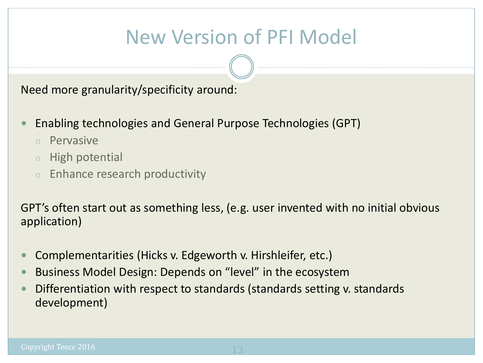### New Version of PFI Model

Need more granularity/specificity around:

- Enabling technologies and General Purpose Technologies (GPT)
	- <sup>o</sup> Pervasive
	- <sup>o</sup> High potential
	- <sup>o</sup> Enhance research productivity

GPT's often start out as something less, (e.g. user invented with no initial obvious application)

- Complementarities (Hicks v. Edgeworth v. Hirshleifer, etc.)
- Business Model Design: Depends on "level" in the ecosystem
- Differentiation with respect to standards (standards setting v. standards development)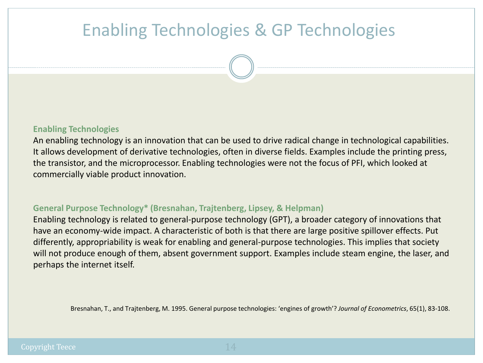### Enabling Technologies & GP Technologies

#### **Enabling Technologies**

An enabling technology is an innovation that can be used to drive radical change in technological capabilities. It allows development of derivative technologies, often in diverse fields. Examples include the printing press, the transistor, and the microprocessor. Enabling technologies were not the focus of PFI, which looked at commercially viable product innovation.

#### **General Purpose Technology\* (Bresnahan, Trajtenberg, Lipsey, & Helpman)**

Enabling technology is related to general-purpose technology (GPT), a broader category of innovations that have an economy-wide impact. A characteristic of both is that there are large positive spillover effects. Put differently, appropriability is weak for enabling and general-purpose technologies. This implies that society will not produce enough of them, absent government support. Examples include steam engine, the laser, and perhaps the internet itself.

Bresnahan, T., and Trajtenberg, M. 1995. General purpose technologies: 'engines of growth'? *Journal of Econometrics*, 65(1), 83-108.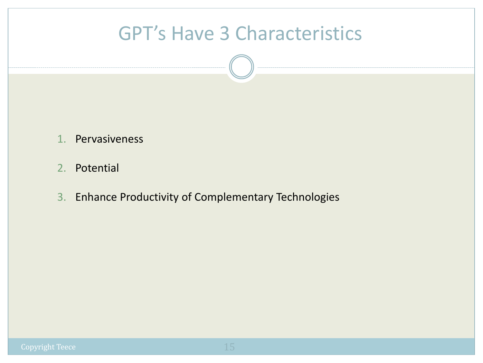### GPT's Have 3 Characteristics

- 1. Pervasiveness
- 2. Potential
- 3. Enhance Productivity of Complementary Technologies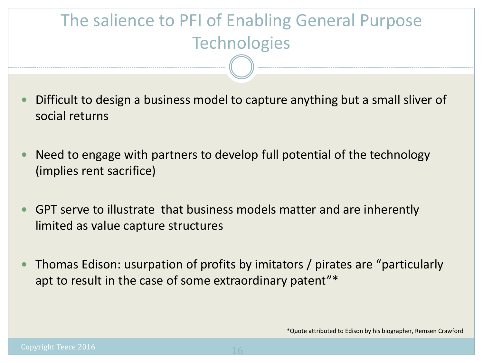### The salience to PFI of Enabling General Purpose **Technologies**

- Difficult to design a business model to capture anything but a small sliver of social returns
- Need to engage with partners to develop full potential of the technology (implies rent sacrifice)
- GPT serve to illustrate that business models matter and are inherently limited as value capture structures
- Thomas Edison: usurpation of profits by imitators / pirates are "particularly apt to result in the case of some extraordinary patent"\*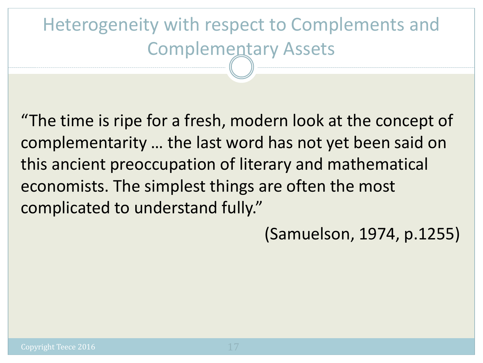# Heterogeneity with respect to Complements and Complementary Assets

"The time is ripe for a fresh, modern look at the concept of complementarity … the last word has not yet been said on this ancient preoccupation of literary and mathematical economists. The simplest things are often the most complicated to understand fully."

(Samuelson, 1974, p.1255)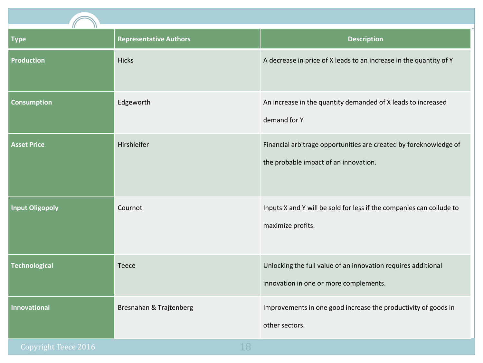

| И<br>π<br><b>Type</b>  | <b>Representative Authors</b> | <b>Description</b>                                                                                         |
|------------------------|-------------------------------|------------------------------------------------------------------------------------------------------------|
| <b>Production</b>      | <b>Hicks</b>                  | A decrease in price of X leads to an increase in the quantity of Y                                         |
| <b>Consumption</b>     | Edgeworth                     | An increase in the quantity demanded of X leads to increased<br>demand for Y                               |
| <b>Asset Price</b>     | Hirshleifer                   | Financial arbitrage opportunities are created by foreknowledge of<br>the probable impact of an innovation. |
| <b>Input Oligopoly</b> | Cournot                       | Inputs X and Y will be sold for less if the companies can collude to<br>maximize profits.                  |
| <b>Technological</b>   | Teece                         | Unlocking the full value of an innovation requires additional<br>innovation in one or more complements.    |
| <b>Innovational</b>    | Bresnahan & Trajtenberg       | Improvements in one good increase the productivity of goods in<br>other sectors.                           |
| Copyright Teece 2016   | 18                            |                                                                                                            |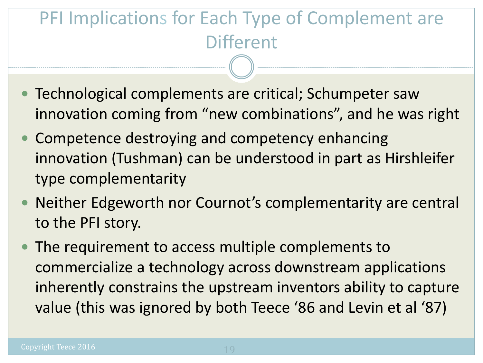### PFI Implications for Each Type of Complement are **Different**

- Technological complements are critical; Schumpeter saw innovation coming from "new combinations", and he was right
- Competence destroying and competency enhancing innovation (Tushman) can be understood in part as Hirshleifer type complementarity
- Neither Edgeworth nor Cournot's complementarity are central to the PFI story.
- The requirement to access multiple complements to commercialize a technology across downstream applications inherently constrains the upstream inventors ability to capture value (this was ignored by both Teece '86 and Levin et al '87)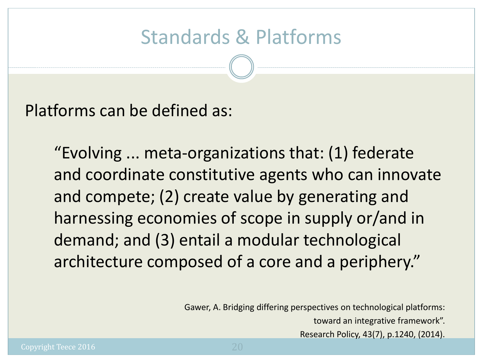Platforms can be defined as:

"Evolving ... meta-organizations that: (1) federate and coordinate constitutive agents who can innovate and compete; (2) create value by generating and harnessing economies of scope in supply or/and in demand; and (3) entail a modular technological architecture composed of a core and a periphery."

Gawer, A. Bridging differing perspectives on technological platforms:

toward an integrative framework".

Research Policy, 43(7), p.1240, (2014).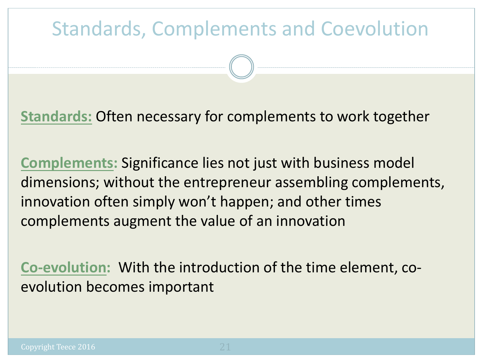### Standards, Complements and Coevolution

**Standards:** Often necessary for complements to work together

**Complements:** Significance lies not just with business model dimensions; without the entrepreneur assembling complements, innovation often simply won't happen; and other times complements augment the value of an innovation

**Co-evolution:** With the introduction of the time element, coevolution becomes important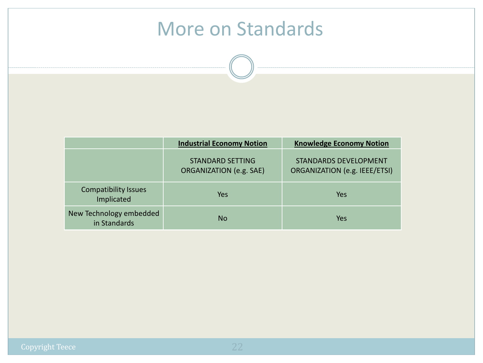### More on Standards

| <b>Industrial Economy Notion</b>          |                                                    | <b>Knowledge Economy Notion</b>                               |  |
|-------------------------------------------|----------------------------------------------------|---------------------------------------------------------------|--|
|                                           | <b>STANDARD SETTING</b><br>ORGANIZATION (e.g. SAE) | <b>STANDARDS DEVELOPMENT</b><br>ORGANIZATION (e.g. IEEE/ETSI) |  |
| <b>Compatibility Issues</b><br>Implicated | Yes                                                | Yes                                                           |  |
| New Technology embedded<br>in Standards   | No                                                 | Yes                                                           |  |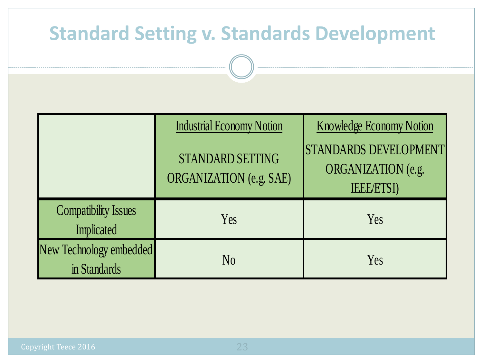### **Standard Setting v. Standards Development**

|                                           | <b>Industrial Economy Notion</b>            | <b>Knowledge Economy Notion</b>                                 |
|-------------------------------------------|---------------------------------------------|-----------------------------------------------------------------|
|                                           | STANDARD SETTING<br>ORGANIZATION (e.g. SAE) | STANDARDS DEVELOPMENT<br>ORGANIZATION (e.g.<br><b>IEEE/ETSI</b> |
| <b>Compatibility Issues</b><br>Implicated | Yes                                         | Yes                                                             |
| New Technology embedded<br>in Standards   | N <sub>0</sub>                              | Yes                                                             |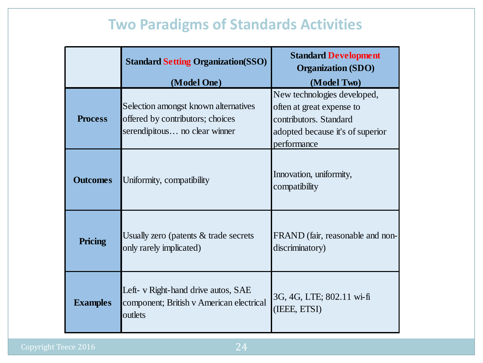### **Two Paradigms of Standards Activities**

|                 | <b>Standard Setting Organization (SSO)</b>                                                                               | <b>Standard Development</b><br><b>Organization (SDO)</b><br>(Model Two)                                                               |
|-----------------|--------------------------------------------------------------------------------------------------------------------------|---------------------------------------------------------------------------------------------------------------------------------------|
| <b>Process</b>  | (Model One)<br>Selection amongst known alternatives<br>offered by contributors; choices<br>serendipitous no clear winner | New technologies developed,<br>often at great expense to<br>contributors. Standard<br>adopted because it's of superior<br>performance |
| <b>Outcomes</b> | Uniformity, compatibility                                                                                                | Innovation, uniformity,<br>compatibility                                                                                              |
| Pricing         | Usually zero (patents $&$ trade secrets<br>only rarely implicated)                                                       | FRAND (fair, reasonable and non-<br>discriminatory)                                                                                   |
| <b>Examples</b> | Left- v Right-hand drive autos, SAE<br>component; British v American electrical<br>outlets                               | 3G, 4G, LTE; 802.11 wi-fi<br>(IEEE, ETSI)                                                                                             |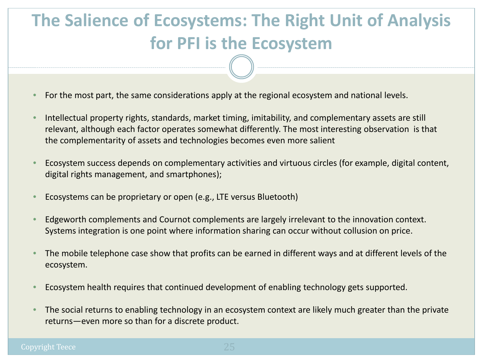### **The Salience of Ecosystems: The Right Unit of Analysis for PFI is the Ecosystem**

- For the most part, the same considerations apply at the regional ecosystem and national levels.
- Intellectual property rights, standards, market timing, imitability, and complementary assets are still relevant, although each factor operates somewhat differently. The most interesting observation is that the complementarity of assets and technologies becomes even more salient
- Ecosystem success depends on complementary activities and virtuous circles (for example, digital content, digital rights management, and smartphones);
- Ecosystems can be proprietary or open (e.g., LTE versus Bluetooth)
- Edgeworth complements and Cournot complements are largely irrelevant to the innovation context. Systems integration is one point where information sharing can occur without collusion on price.
- The mobile telephone case show that profits can be earned in different ways and at different levels of the ecosystem.
- Ecosystem health requires that continued development of enabling technology gets supported.
- The social returns to enabling technology in an ecosystem context are likely much greater than the private returns—even more so than for a discrete product.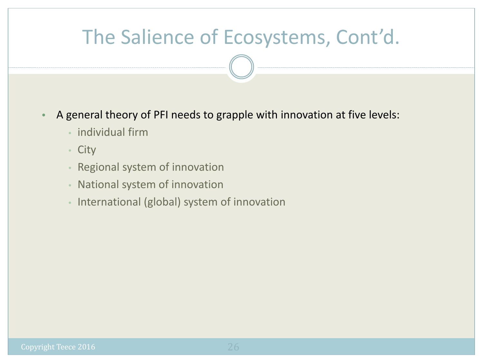### The Salience of Ecosystems, Cont'd.

- A general theory of PFI needs to grapple with innovation at five levels:
	- individual firm
	- City
	- Regional system of innovation
	- National system of innovation
	- International (global) system of innovation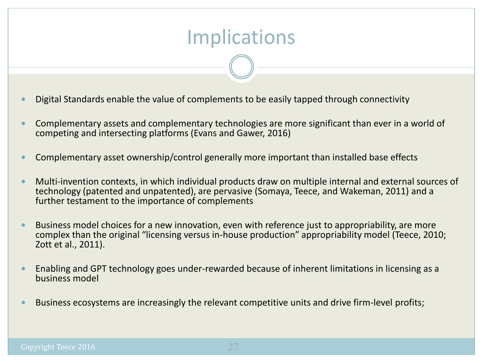### Implications

- Digital Standards enable the value of complements to be easily tapped through connectivity
- Complementary assets and complementary technologies are more significant than ever in a world of competing and intersecting platforms (Evans and Gawer, 2016)
- Complementary asset ownership/control generally more important than installed base effects
- Multi-invention contexts, in which individual products draw on multiple internal and external sources of technology (patented and unpatented), are pervasive (Somaya, Teece, and Wakeman, 2011) and a further testament to the importance of complements
- Business model choices for a new innovation, even with reference just to appropriability, are more complex than the original "licensing versus in-house production" appropriability model (Teece, 2010; Zott et al., 2011).
- Enabling and GPT technology goes under-rewarded because of inherent limitations in licensing as a business model
- Business ecosystems are increasingly the relevant competitive units and drive firm-level profits;